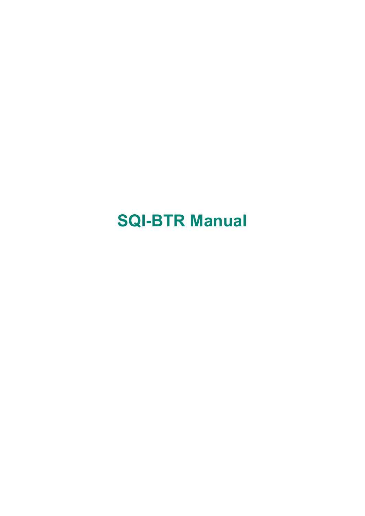## **SQI-BTR Manual**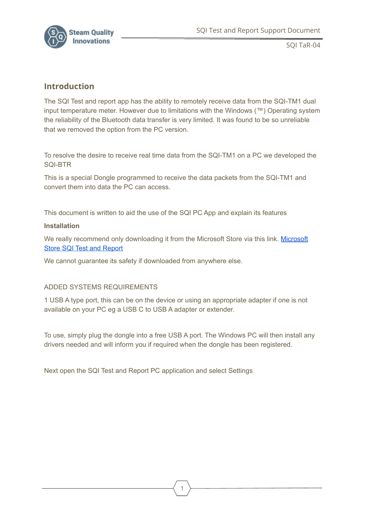

SQI TaR-04

## **Introduction**

The SQI Test and report app has the ability to remotely receive data from the SQI-TM1 dual input temperature meter. However due to limitations with the Windows (™) Operating system the reliability of the Bluetooth data transfer is very limited. It was found to be so unreliable that we removed the option from the PC version.

To resolve the desire to receive real time data from the SQI-TM1 on a PC we developed the SQI-BTR

This is a special Dongle programmed to receive the data packets from the SQI-TM1 and convert them into data the PC can access.

This document is written to aid the use of the SQI PC App and explain its features

## **Installation**

We really recommend only downloading it from the [Microsoft](https://www.microsoft.com/en-gb/p/sqi-test-and-report/9nmx094bjxz2?activetab=pivot:overviewtab) Store via this link. Microsoft Store SQI Test and [Report](https://www.microsoft.com/en-gb/p/sqi-test-and-report/9nmx094bjxz2?activetab=pivot:overviewtab)

We cannot guarantee its safety if downloaded from anywhere else.

## ADDED SYSTEMS REQUIREMENTS

1 USB A type port, this can be on the device or using an appropriate adapter if one is not available on your PC eg a USB C to USB A adapter or extender.

To use, simply plug the dongle into a free USB A port. The Windows PC will then install any drivers needed and will inform you if required when the dongle has been registered.

Next open the SQI Test and Report PC application and select Settings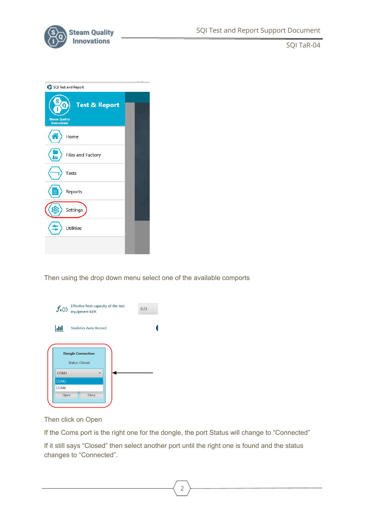

SQI TaR-04

| SQI Test and Report                                                         |  |  |  |  |
|-----------------------------------------------------------------------------|--|--|--|--|
| <b>Test &amp; Report</b><br>n<br><b>Steam Quality</b><br><b>Innovations</b> |  |  |  |  |
| Home                                                                        |  |  |  |  |
| Files and Factory                                                           |  |  |  |  |
| Tests                                                                       |  |  |  |  |
| Reports                                                                     |  |  |  |  |
| Settings                                                                    |  |  |  |  |
| Utilities                                                                   |  |  |  |  |
|                                                                             |  |  |  |  |

Then using the drop down menu select one of the available comports

| Effective heat capacity of the test<br>$\textbf{\textit{f}}_{\textbf{x}}(\textbf{k})\ \textbf{\textit{equipment kJ/K}}$ |                                                   |  | 0.23 |
|-------------------------------------------------------------------------------------------------------------------------|---------------------------------------------------|--|------|
| <b>Jil</b>                                                                                                              | <b>Statistics Auto Record</b>                     |  |      |
|                                                                                                                         | <b>Dongle Connection</b><br><b>Status: Closed</b> |  |      |
| COM3                                                                                                                    |                                                   |  |      |
| COM3                                                                                                                    |                                                   |  |      |
| COM <sub>6</sub>                                                                                                        |                                                   |  |      |
| Open                                                                                                                    | Close                                             |  |      |

Then click on Open

If the Coms port is the right one for the dongle, the port Status will change to "Connected" If it still says "Closed" then select another port until the right one is found and the status changes to "Connected".